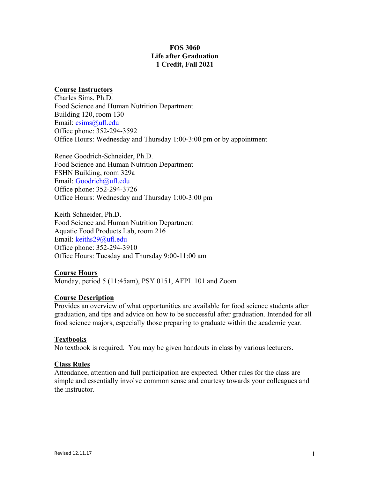# FOS 3060 Life after Graduation 1 Credit, Fall 2021

## Course Instructors

Charles Sims, Ph.D. Food Science and Human Nutrition Department Building 120, room 130 Email: csims@ufl.edu Office phone: 352-294-3592 Office Hours: Wednesday and Thursday 1:00-3:00 pm or by appointment

Renee Goodrich-Schneider, Ph.D. Food Science and Human Nutrition Department FSHN Building, room 329a Email: Goodrich@ufl.edu Office phone: 352-294-3726 Office Hours: Wednesday and Thursday 1:00-3:00 pm

Keith Schneider, Ph.D. Food Science and Human Nutrition Department Aquatic Food Products Lab, room 216 Email: keiths29@ufl.edu Office phone: 352-294-3910 Office Hours: Tuesday and Thursday 9:00-11:00 am

## Course Hours

Monday, period 5 (11:45am), PSY 0151, AFPL 101 and Zoom

## Course Description

Provides an overview of what opportunities are available for food science students after graduation, and tips and advice on how to be successful after graduation. Intended for all food science majors, especially those preparing to graduate within the academic year.

#### Textbooks

No textbook is required. You may be given handouts in class by various lecturers.

#### Class Rules

Attendance, attention and full participation are expected. Other rules for the class are simple and essentially involve common sense and courtesy towards your colleagues and the instructor.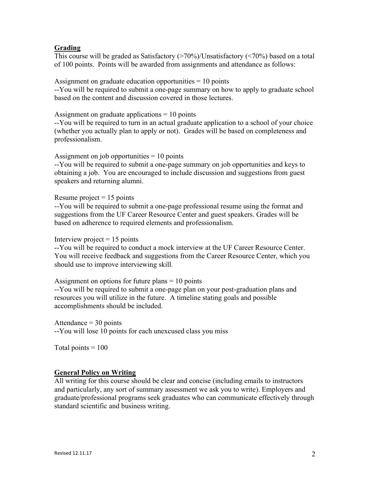## **Grading**

This course will be graded as Satisfactory  $(\geq 70\%)$ Unsatisfactory  $(\leq 70\%)$  based on a total of 100 points. Points will be awarded from assignments and attendance as follows:

Assignment on graduate education opportunities  $= 10$  points --You will be required to submit a one-page summary on how to apply to graduate school based on the content and discussion covered in those lectures.

Assignment on graduate applications  $= 10$  points

--You will be required to turn in an actual graduate application to a school of your choice (whether you actually plan to apply or not). Grades will be based on completeness and professionalism.

Assignment on job opportunities  $= 10$  points

--You will be required to submit a one-page summary on job opportunities and keys to obtaining a job. You are encouraged to include discussion and suggestions from guest speakers and returning alumni.

Resume project  $= 15$  points

--You will be required to submit a one-page professional resume using the format and suggestions from the UF Career Resource Center and guest speakers. Grades will be based on adherence to required elements and professionalism.

Interview project  $= 15$  points

--You will be required to conduct a mock interview at the UF Career Resource Center. You will receive feedback and suggestions from the Career Resource Center, which you should use to improve interviewing skill.

Assignment on options for future plans = 10 points

--You will be required to submit a one-page plan on your post-graduation plans and resources you will utilize in the future. A timeline stating goals and possible accomplishments should be included.

#### Attendance  $=$  30 points

--You will lose 10 points for each unexcused class you miss

Total points  $= 100$ 

## General Policy on Writing

All writing for this course should be clear and concise (including emails to instructors and particularly, any sort of summary assessment we ask you to write). Employers and graduate/professional programs seek graduates who can communicate effectively through standard scientific and business writing.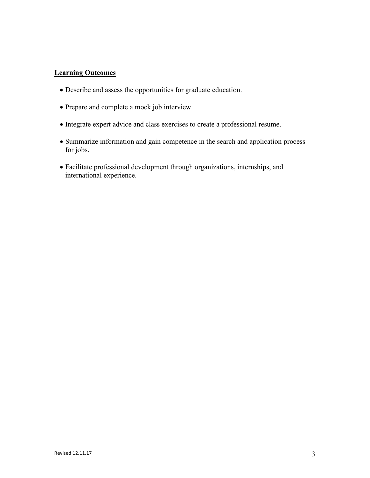## Learning Outcomes

- Describe and assess the opportunities for graduate education.
- Prepare and complete a mock job interview.
- Integrate expert advice and class exercises to create a professional resume.
- Summarize information and gain competence in the search and application process for jobs.
- Facilitate professional development through organizations, internships, and international experience.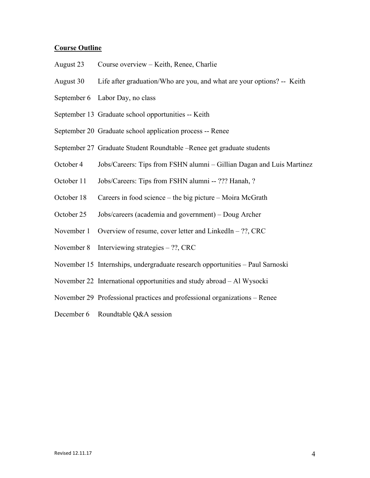## Course Outline

- August 23 Course overview Keith, Renee, Charlie
- August 30 Life after graduation/Who are you, and what are your options? -- Keith
- September 6 Labor Day, no class
- September 13 Graduate school opportunities -- Keith
- September 20 Graduate school application process -- Renee
- September 27 Graduate Student Roundtable –Renee get graduate students
- October 4 Jobs/Careers: Tips from FSHN alumni Gillian Dagan and Luis Martinez
- October 11 Jobs/Careers: Tips from FSHN alumni -- ??? Hanah, ?
- October 18 Careers in food science the big picture Moira McGrath
- October 25 Jobs/careers (academia and government) Doug Archer
- November 1 Overview of resume, cover letter and LinkedIn ??, CRC
- November 8 Interviewing strategies ??, CRC
- November 15 Internships, undergraduate research opportunities Paul Sarnoski
- November 22 International opportunities and study abroad Al Wysocki
- November 29 Professional practices and professional organizations Renee
- December 6 Roundtable Q&A session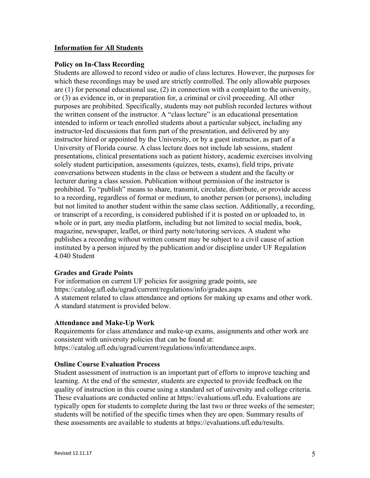## Information for All Students

### Policy on In-Class Recording

Students are allowed to record video or audio of class lectures. However, the purposes for which these recordings may be used are strictly controlled. The only allowable purposes are (1) for personal educational use, (2) in connection with a complaint to the university, or (3) as evidence in, or in preparation for, a criminal or civil proceeding. All other purposes are prohibited. Specifically, students may not publish recorded lectures without the written consent of the instructor. A "class lecture" is an educational presentation intended to inform or teach enrolled students about a particular subject, including any instructor-led discussions that form part of the presentation, and delivered by any instructor hired or appointed by the University, or by a guest instructor, as part of a University of Florida course. A class lecture does not include lab sessions, student presentations, clinical presentations such as patient history, academic exercises involving solely student participation, assessments (quizzes, tests, exams), field trips, private conversations between students in the class or between a student and the faculty or lecturer during a class session. Publication without permission of the instructor is prohibited. To "publish" means to share, transmit, circulate, distribute, or provide access to a recording, regardless of format or medium, to another person (or persons), including but not limited to another student within the same class section. Additionally, a recording, or transcript of a recording, is considered published if it is posted on or uploaded to, in whole or in part, any media platform, including but not limited to social media, book, magazine, newspaper, leaflet, or third party note/tutoring services. A student who publishes a recording without written consent may be subject to a civil cause of action instituted by a person injured by the publication and/or discipline under UF Regulation 4.040 Student

## Grades and Grade Points

For information on current UF policies for assigning grade points, see https://catalog.ufl.edu/ugrad/current/regulations/info/grades.aspx A statement related to class attendance and options for making up exams and other work. A standard statement is provided below.

## Attendance and Make-Up Work

Requirements for class attendance and make-up exams, assignments and other work are consistent with university policies that can be found at: https://catalog.ufl.edu/ugrad/current/regulations/info/attendance.aspx.

## Online Course Evaluation Process

Student assessment of instruction is an important part of efforts to improve teaching and learning. At the end of the semester, students are expected to provide feedback on the quality of instruction in this course using a standard set of university and college criteria. These evaluations are conducted online at https://evaluations.ufl.edu. Evaluations are typically open for students to complete during the last two or three weeks of the semester; students will be notified of the specific times when they are open. Summary results of these assessments are available to students at https://evaluations.ufl.edu/results.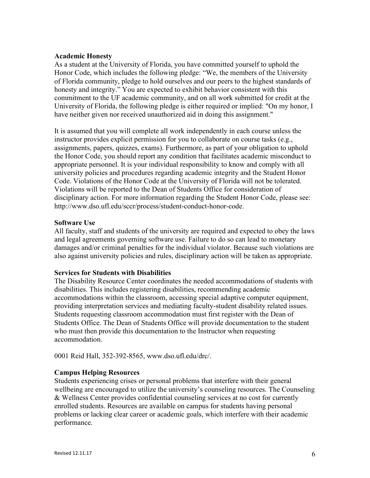#### Academic Honesty

As a student at the University of Florida, you have committed yourself to uphold the Honor Code, which includes the following pledge: "We, the members of the University of Florida community, pledge to hold ourselves and our peers to the highest standards of honesty and integrity." You are expected to exhibit behavior consistent with this commitment to the UF academic community, and on all work submitted for credit at the University of Florida, the following pledge is either required or implied: "On my honor, I have neither given nor received unauthorized aid in doing this assignment."

It is assumed that you will complete all work independently in each course unless the instructor provides explicit permission for you to collaborate on course tasks (e.g., assignments, papers, quizzes, exams). Furthermore, as part of your obligation to uphold the Honor Code, you should report any condition that facilitates academic misconduct to appropriate personnel. It is your individual responsibility to know and comply with all university policies and procedures regarding academic integrity and the Student Honor Code. Violations of the Honor Code at the University of Florida will not be tolerated. Violations will be reported to the Dean of Students Office for consideration of disciplinary action. For more information regarding the Student Honor Code, please see: http://www.dso.ufl.edu/sccr/process/student-conduct-honor-code.

#### Software Use

All faculty, staff and students of the university are required and expected to obey the laws and legal agreements governing software use. Failure to do so can lead to monetary damages and/or criminal penalties for the individual violator. Because such violations are also against university policies and rules, disciplinary action will be taken as appropriate.

## Services for Students with Disabilities

The Disability Resource Center coordinates the needed accommodations of students with disabilities. This includes registering disabilities, recommending academic accommodations within the classroom, accessing special adaptive computer equipment, providing interpretation services and mediating faculty-student disability related issues. Students requesting classroom accommodation must first register with the Dean of Students Office. The Dean of Students Office will provide documentation to the student who must then provide this documentation to the Instructor when requesting accommodation.

0001 Reid Hall, 352-392-8565, www.dso.ufl.edu/drc/.

## Campus Helping Resources

Students experiencing crises or personal problems that interfere with their general wellbeing are encouraged to utilize the university's counseling resources. The Counseling & Wellness Center provides confidential counseling services at no cost for currently enrolled students. Resources are available on campus for students having personal problems or lacking clear career or academic goals, which interfere with their academic performance.